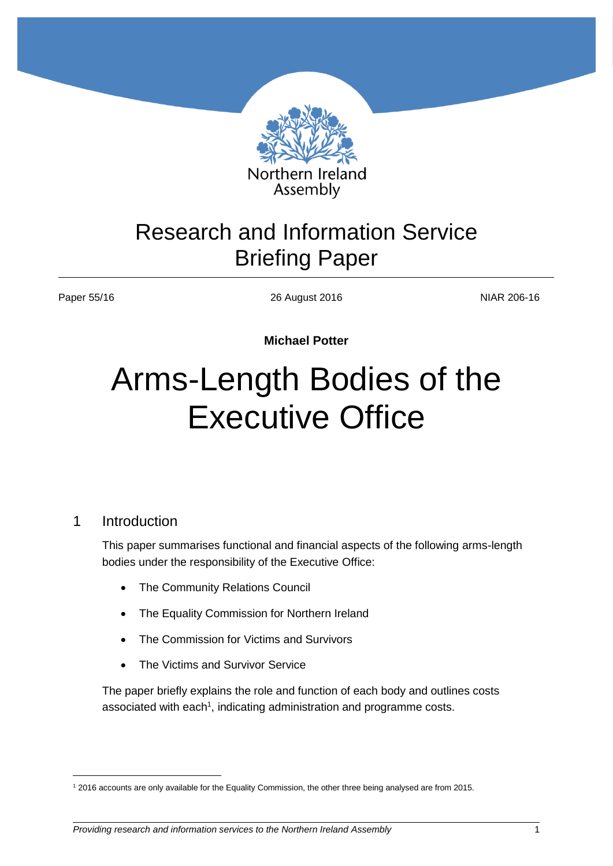

## Research and Information Service Briefing Paper

Paper 55/16 26 August 2016 26 August 2016

**Michael Potter**

# Arms-Length Bodies of the Executive Office

#### 1 Introduction

 $\overline{a}$ 

This paper summarises functional and financial aspects of the following arms-length bodies under the responsibility of the Executive Office:

- The Community Relations Council
- The Equality Commission for Northern Ireland
- The Commission for Victims and Survivors
- The Victims and Survivor Service

The paper briefly explains the role and function of each body and outlines costs associated with each<sup>1</sup>, indicating administration and programme costs.

<sup>1</sup> 2016 accounts are only available for the Equality Commission, the other three being analysed are from 2015.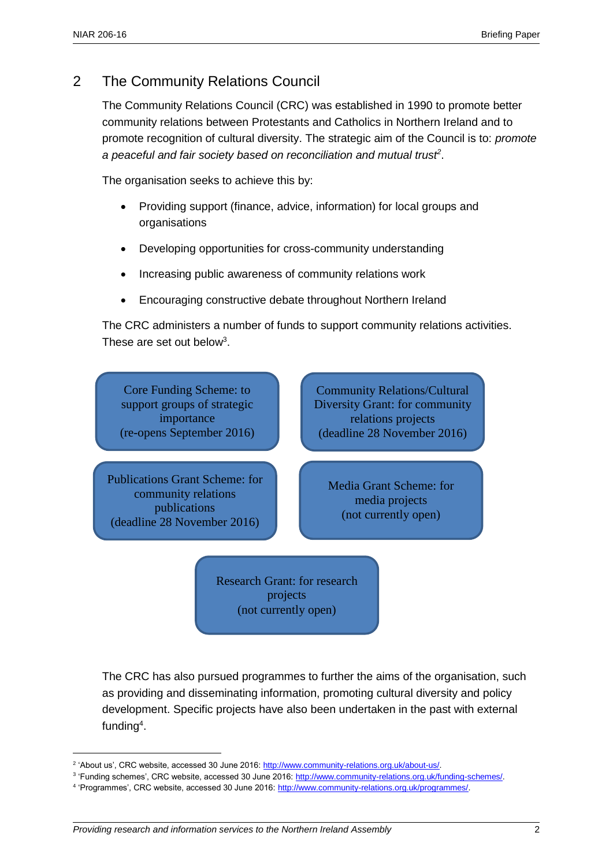### 2 The Community Relations Council

The Community Relations Council (CRC) was established in 1990 to promote better community relations between Protestants and Catholics in Northern Ireland and to promote recognition of cultural diversity. The strategic aim of the Council is to: *promote a peaceful and fair society based on reconciliation and mutual trust<sup>2</sup>* .

The organisation seeks to achieve this by:

- Providing support (finance, advice, information) for local groups and organisations
- Developing opportunities for cross-community understanding
- Increasing public awareness of community relations work
- Encouraging constructive debate throughout Northern Ireland

The CRC administers a number of funds to support community relations activities. These are set out below<sup>3</sup>.



Research Grant: for research projects (not currently open)

The CRC has also pursued programmes to further the aims of the organisation, such as providing and disseminating information, promoting cultural diversity and policy development. Specific projects have also been undertaken in the past with external funding<sup>4</sup>.

<sup>&</sup>lt;sup>2</sup> 'About us', CRC website, accessed 30 June 2016[: http://www.community-relations.org.uk/about-us/.](http://www.community-relations.org.uk/about-us/)

<sup>&</sup>lt;sup>3</sup> 'Funding schemes', CRC website, accessed 30 June 2016: [http://www.community-relations.org.uk/funding-schemes/.](http://www.community-relations.org.uk/funding-schemes/)

<sup>&</sup>lt;sup>4</sup> 'Programmes', CRC website, accessed 30 June 2016: [http://www.community-relations.org.uk/programmes/.](http://www.community-relations.org.uk/programmes/)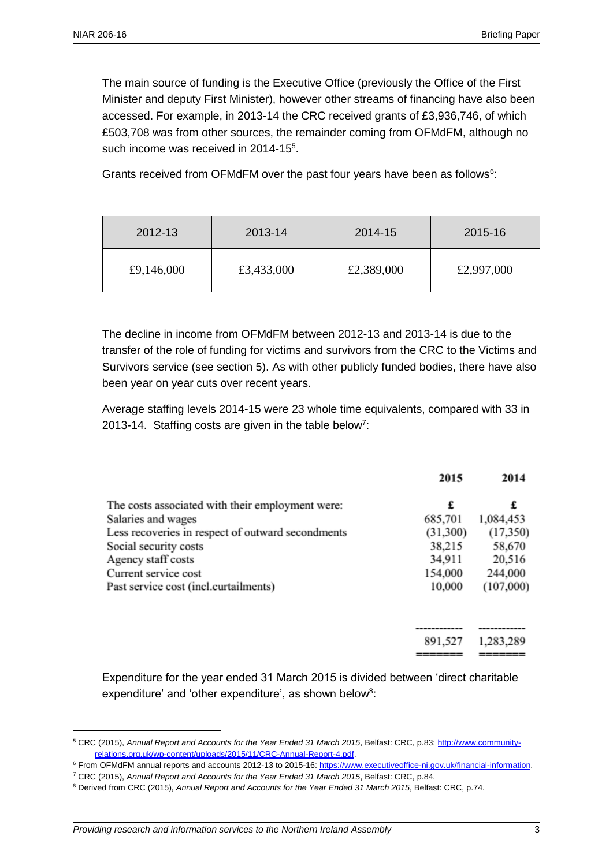The main source of funding is the Executive Office (previously the Office of the First Minister and deputy First Minister), however other streams of financing have also been accessed. For example, in 2013-14 the CRC received grants of £3,936,746, of which £503,708 was from other sources, the remainder coming from OFMdFM, although no such income was received in 2014-15<sup>5</sup>.

Grants received from OFMdFM over the past four years have been as follows<sup>6</sup>:

| 2012-13    | 2013-14    | 2014-15    | 2015-16    |
|------------|------------|------------|------------|
| £9,146,000 | £3,433,000 | £2,389,000 | £2,997,000 |

The decline in income from OFMdFM between 2012-13 and 2013-14 is due to the transfer of the role of funding for victims and survivors from the CRC to the Victims and Survivors service (see section 5). As with other publicly funded bodies, there have also been year on year cuts over recent years.

Average staffing levels 2014-15 were 23 whole time equivalents, compared with 33 in 2013-14. Staffing costs are given in the table below<sup>7</sup>:

|                                                   | 2015     | 2014      |
|---------------------------------------------------|----------|-----------|
| The costs associated with their employment were:  | £        | £         |
| Salaries and wages                                | 685,701  | 1,084,453 |
| Less recoveries in respect of outward secondments | (31,300) | (17,350)  |
| Social security costs                             | 38,215   | 58,670    |
| Agency staff costs                                | 34,911   | 20,516    |
| Current service cost                              | 154,000  | 244,000   |
| Past service cost (incl.curtailments)             | 10,000   | (107,000) |
|                                                   |          |           |
|                                                   | 891,527  | 1,283,289 |
|                                                   |          |           |

Expenditure for the year ended 31 March 2015 is divided between 'direct charitable expenditure' and 'other expenditure', as shown below<sup>8</sup>:

<sup>5</sup> CRC (2015), *Annual Report and Accounts for the Year Ended 31 March 2015*, Belfast: CRC, p.83: [http://www.community](http://www.community-relations.org.uk/wp-content/uploads/2015/11/CRC-Annual-Report-4.pdf)[relations.org.uk/wp-content/uploads/2015/11/CRC-Annual-Report-4.pdf.](http://www.community-relations.org.uk/wp-content/uploads/2015/11/CRC-Annual-Report-4.pdf)

<sup>6</sup> From OFMdFM annual reports and accounts 2012-13 to 2015-16[: https://www.executiveoffice-ni.gov.uk/financial-information.](https://www.executiveoffice-ni.gov.uk/financial-information)

<sup>7</sup> CRC (2015), *Annual Report and Accounts for the Year Ended 31 March 2015*, Belfast: CRC, p.84.

<sup>8</sup> Derived from CRC (2015), *Annual Report and Accounts for the Year Ended 31 March 2015*, Belfast: CRC, p.74.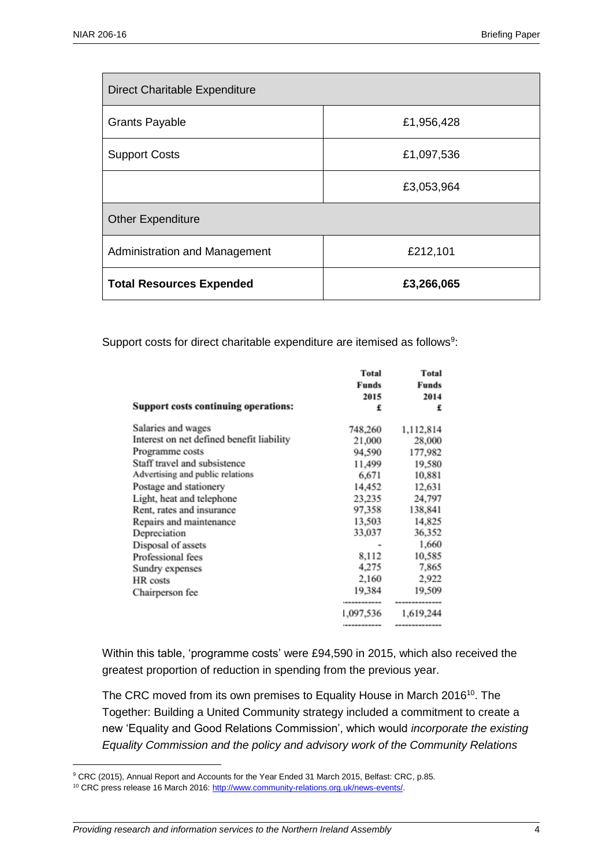| Direct Charitable Expenditure   |            |  |  |
|---------------------------------|------------|--|--|
| <b>Grants Payable</b>           | £1,956,428 |  |  |
| <b>Support Costs</b>            | £1,097,536 |  |  |
|                                 | £3,053,964 |  |  |
| <b>Other Expenditure</b>        |            |  |  |
| Administration and Management   | £212,101   |  |  |
| <b>Total Resources Expended</b> | £3,266,065 |  |  |

Support costs for direct charitable expenditure are itemised as follows<sup>9</sup>:

| Support costs continuing operations:      | <b>Total</b><br>Funds<br>2015<br>£ | <b>Total</b><br>Funds<br>2014<br>£ |
|-------------------------------------------|------------------------------------|------------------------------------|
| Salaries and wages                        | 748,260                            | 1,112,814                          |
| Interest on net defined benefit liability | 21,000                             | 28,000                             |
| Programme costs                           | 94,590                             | 177,982                            |
| Staff travel and subsistence              | 11,499                             | 19,580                             |
| Advertising and public relations          | 6,671                              | 10,881                             |
| Postage and stationery                    | 14,452                             | 12,631                             |
| Light, heat and telephone                 | 23,235                             | 24,797                             |
| Rent, rates and insurance                 | 97.358                             | 138,841                            |
| Repairs and maintenance                   | 13,503                             | 14,825                             |
| Depreciation                              | 33,037                             | 36,352                             |
| Disposal of assets                        |                                    | 1,660                              |
| Professional fees                         | 8,112                              | 10,585                             |
| Sundry expenses                           | 4,275                              | 7,865                              |
| HR costs                                  | 2,160                              | 2,922                              |
| Chairperson fee                           | 19.384<br>                         | 19,509<br>--------------           |
|                                           | 1,097,536                          | 1,619,244                          |
|                                           | -----------                        | -------------                      |

Within this table, 'programme costs' were £94,590 in 2015, which also received the greatest proportion of reduction in spending from the previous year.

The CRC moved from its own premises to Equality House in March 2016<sup>10</sup>. The Together: Building a United Community strategy included a commitment to create a new 'Equality and Good Relations Commission', which would *incorporate the existing Equality Commission and the policy and advisory work of the Community Relations* 

<sup>9</sup> CRC (2015), Annual Report and Accounts for the Year Ended 31 March 2015, Belfast: CRC, p.85.

<sup>&</sup>lt;sup>10</sup> CRC press release 16 March 2016: http://www.community-relations.org.uk/news-events/.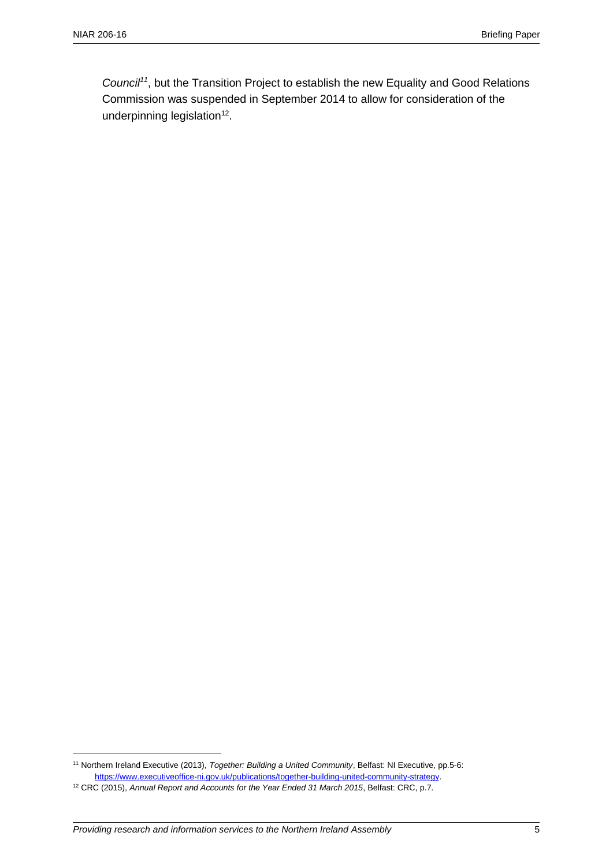*Council<sup>11</sup>*, but the Transition Project to establish the new Equality and Good Relations Commission was suspended in September 2014 to allow for consideration of the underpinning legislation $12$ .

<sup>11</sup> Northern Ireland Executive (2013), *Together: Building a United Community*, Belfast: NI Executive, pp.5-6: [https://www.executiveoffice-ni.gov.uk/publications/together-building-united-community-strategy.](https://www.executiveoffice-ni.gov.uk/publications/together-building-united-community-strategy)

<sup>12</sup> CRC (2015), *Annual Report and Accounts for the Year Ended 31 March 2015*, Belfast: CRC, p.7.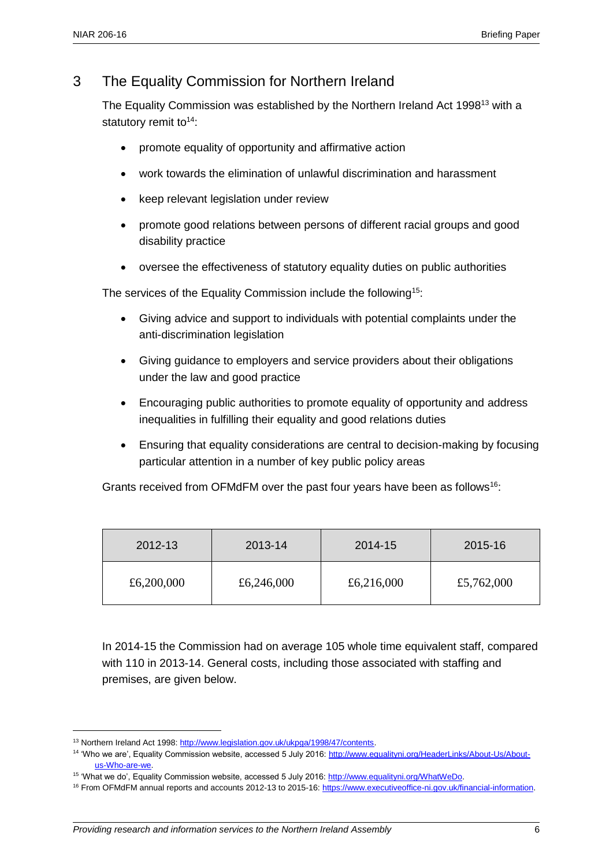#### 3 The Equality Commission for Northern Ireland

The Equality Commission was established by the Northern Ireland Act 1998<sup>13</sup> with a statutory remit to $14$ :

- promote equality of opportunity and affirmative action
- work towards the elimination of unlawful discrimination and harassment
- keep relevant legislation under review
- promote good relations between persons of different racial groups and good disability practice
- oversee the effectiveness of statutory equality duties on public authorities

The services of the Equality Commission include the following<sup>15</sup>:

- Giving advice and support to individuals with potential complaints under the anti-discrimination legislation
- Giving guidance to employers and service providers about their obligations under the law and good practice
- Encouraging public authorities to promote equality of opportunity and address inequalities in fulfilling their equality and good relations duties
- Ensuring that equality considerations are central to decision-making by focusing particular attention in a number of key public policy areas

Grants received from OFMdFM over the past four years have been as follows<sup>16</sup>:

| 2012-13    | 2013-14    | 2014-15    | 2015-16    |
|------------|------------|------------|------------|
| £6,200,000 | £6,246,000 | £6,216,000 | £5,762,000 |

In 2014-15 the Commission had on average 105 whole time equivalent staff, compared with 110 in 2013-14. General costs, including those associated with staffing and premises, are given below.

 $\overline{a}$ 

<sup>&</sup>lt;sup>13</sup> Northern Ireland Act 1998: http://www.legislation.gov.uk/ukpga/1998/47/contents.

<sup>&</sup>lt;sup>14</sup> 'Who we are', Equality Commission website, accessed 5 July 2016: [http://www.equalityni.org/HeaderLinks/About-Us/About](http://www.equalityni.org/HeaderLinks/About-Us/About-us-Who-are-we)[us-Who-are-we.](http://www.equalityni.org/HeaderLinks/About-Us/About-us-Who-are-we)

<sup>15</sup> 'What we do', Equality Commission website, accessed 5 July 2016: [http://www.equalityni.org/WhatWeDo.](http://www.equalityni.org/WhatWeDo)

<sup>&</sup>lt;sup>16</sup> From OFMdFM annual reports and accounts 2012-13 to 2015-16: [https://www.executiveoffice-ni.gov.uk/financial-information.](https://www.executiveoffice-ni.gov.uk/financial-information)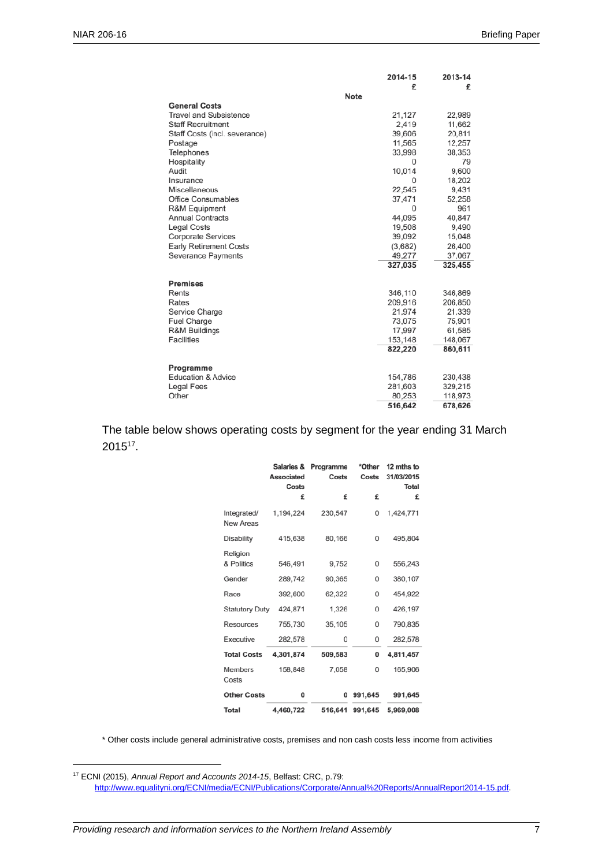|                               | 2014-15     | 2013-14 |
|-------------------------------|-------------|---------|
|                               | £           | £       |
|                               | <b>Note</b> |         |
| <b>General Costs</b>          |             |         |
| <b>Travel and Subsistence</b> | 21,127      | 22,989  |
| <b>Staff Recruitment</b>      | 2,419       | 11,662  |
| Staff Costs (incl. severance) | 39,606      | 20,811  |
| Postage                       | 11,565      | 12,257  |
| Telephones                    | 33,998      | 38,353  |
| Hospitality                   | 0           | 79      |
| Audit                         | 10,014      | 9,600   |
| Insurance                     | 0           | 18,202  |
| Miscellaneous                 | 22,545      | 9,431   |
| <b>Office Consumables</b>     | 37,471      | 52,258  |
| R&M Equipment                 | $\Omega$    | 961     |
| <b>Annual Contracts</b>       | 44,095      | 40,847  |
| <b>Legal Costs</b>            | 19,508      | 9,490   |
| <b>Corporate Services</b>     | 39,092      | 15,048  |
| <b>Early Retirement Costs</b> | (3,682)     | 26,400  |
| <b>Severance Payments</b>     | 49,277      | 37,067  |
|                               | 327,035     | 325,455 |
| <b>Premises</b>               |             |         |
| Rents                         | 346,110     | 346,869 |
| Rates                         | 209,916     | 206,850 |
| Service Charge                | 21,974      | 21,339  |
| <b>Fuel Charge</b>            | 73,075      | 75,901  |
| R&M Buildings                 | 17,997      | 61,585  |
| <b>Facilities</b>             | 153,148     | 148,067 |
|                               | 822,220     | 860,611 |
| Programme                     |             |         |
| <b>Education &amp; Advice</b> | 154,786     | 230,438 |
| <b>Legal Fees</b>             | 281,603     | 329,215 |
| Other                         | 80,253      | 118,973 |
|                               | 516,642     | 678,626 |

The table below shows operating costs by segment for the year ending 31 March  $2015^{17}$ .

|                          | Salaries &<br><b>Associated</b><br>Costs | Programme<br>Costs | *Other<br>Costs | 12 mths to<br>31/03/2015<br><b>Total</b> |
|--------------------------|------------------------------------------|--------------------|-----------------|------------------------------------------|
|                          | £                                        | £                  | £               | £                                        |
| Integrated/<br>New Areas | 1,194,224                                | 230,547            | 0               | 1,424,771                                |
| <b>Disability</b>        | 415,638                                  | 80,166             | 0               | 495,804                                  |
| Religion<br>& Politics   | 546,491                                  | 9,752              | 0               | 556,243                                  |
| Gender                   | 289,742                                  | 90,365             | $\mathbf 0$     | 380,107                                  |
| Race                     | 392,600                                  | 62,322             | $\mathbf{0}$    | 454.922                                  |
| <b>Statutory Duty</b>    | 424,871                                  | 1,326              | 0               | 426,197                                  |
| Resources                | 755,730                                  | 35,105             | 0               | 790,835                                  |
| Executive                | 282,578                                  | 0                  | 0               | 282,578                                  |
| <b>Total Costs</b>       | 4,301,874                                | 509,583            | 0               | 4,811,457                                |
| Members<br>Costs         | 158,848                                  | 7,058              | 0               | 165,906                                  |
| <b>Other Costs</b>       | 0                                        | 0                  | 991,645         | 991,645                                  |
| Total                    | 4,460,722                                |                    | 516,641 991,645 | 5.969.008                                |

\* Other costs include general administrative costs, premises and non cash costs less income from activities

<sup>17</sup> ECNI (2015), *Annual Report and Accounts 2014-15*, Belfast: CRC, p.79: [http://www.equalityni.org/ECNI/media/ECNI/Publications/Corporate/Annual%20Reports/AnnualReport2014-15.pdf.](http://www.equalityni.org/ECNI/media/ECNI/Publications/Corporate/Annual%20Reports/AnnualReport2014-15.pdf)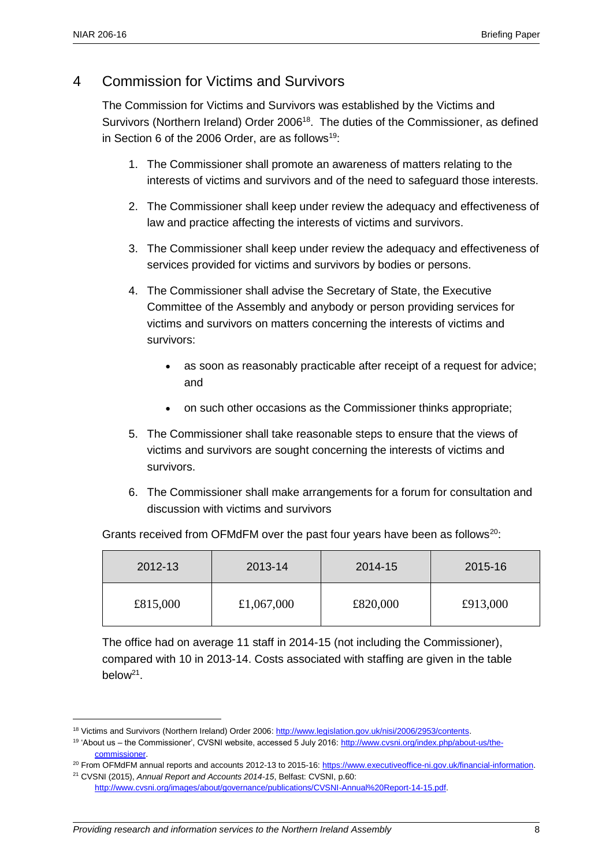#### 4 Commission for Victims and Survivors

The Commission for Victims and Survivors was established by the Victims and Survivors (Northern Ireland) Order 2006<sup>18</sup>. The duties of the Commissioner, as defined in Section 6 of the 2006 Order, are as follows<sup>19:</sup>

- 1. The Commissioner shall promote an awareness of matters relating to the interests of victims and survivors and of the need to safeguard those interests.
- 2. The Commissioner shall keep under review the adequacy and effectiveness of law and practice affecting the interests of victims and survivors.
- 3. The Commissioner shall keep under review the adequacy and effectiveness of services provided for victims and survivors by bodies or persons.
- 4. The Commissioner shall advise the Secretary of State, the Executive Committee of the Assembly and anybody or person providing services for victims and survivors on matters concerning the interests of victims and survivors:
	- as soon as reasonably practicable after receipt of a request for advice; and
	- on such other occasions as the Commissioner thinks appropriate;
- 5. The Commissioner shall take reasonable steps to ensure that the views of victims and survivors are sought concerning the interests of victims and survivors.
- 6. The Commissioner shall make arrangements for a forum for consultation and discussion with victims and survivors

Grants received from OFMdFM over the past four years have been as follows<sup>20</sup>:

| 2012-13  | 2013-14    | 2014-15  | 2015-16  |
|----------|------------|----------|----------|
| £815,000 | £1,067,000 | £820,000 | £913,000 |

The office had on average 11 staff in 2014-15 (not including the Commissioner), compared with 10 in 2013-14. Costs associated with staffing are given in the table below<sup>21</sup>.

<sup>18</sup> Victims and Survivors (Northern Ireland) Order 2006: [http://www.legislation.gov.uk/nisi/2006/2953/contents.](http://www.legislation.gov.uk/nisi/2006/2953/contents)

<sup>&</sup>lt;sup>19</sup> 'About us – the Commissioner', CVSNI website, accessed 5 July 2016: [http://www.cvsni.org/index.php/about-us/the](http://www.cvsni.org/index.php/about-us/the-commissioner)[commissioner.](http://www.cvsni.org/index.php/about-us/the-commissioner) 

<sup>&</sup>lt;sup>20</sup> From OFMdFM annual reports and accounts 2012-13 to 2015-16: [https://www.executiveoffice-ni.gov.uk/financial-information.](https://www.executiveoffice-ni.gov.uk/financial-information) <sup>21</sup> CVSNI (2015), *Annual Report and Accounts 2014-15*, Belfast: CVSNI, p.60:

[http://www.cvsni.org/images/about/governance/publications/CVSNI-Annual%20Report-14-15.pdf.](http://www.cvsni.org/images/about/governance/publications/CVSNI-Annual%20Report-14-15.pdf)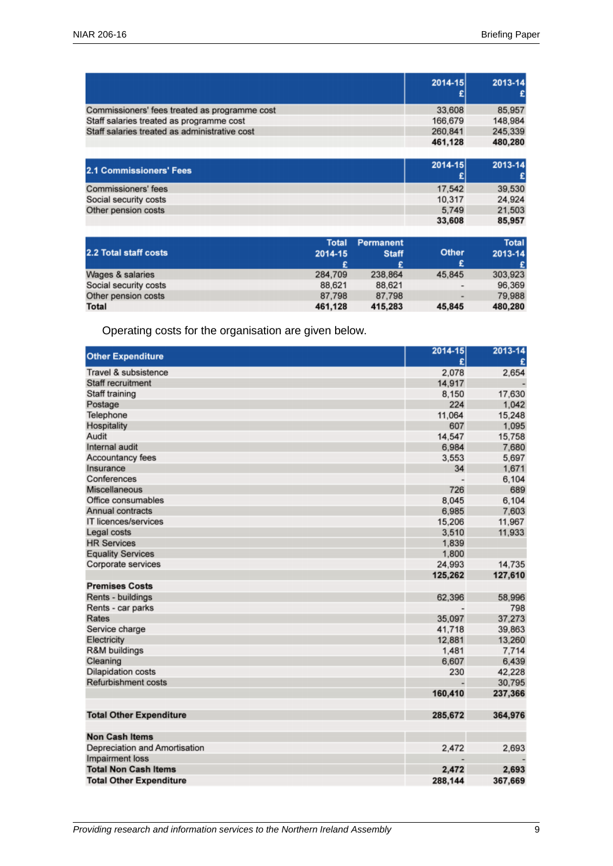|                                               | 2014-15 | 2013-14 |
|-----------------------------------------------|---------|---------|
| Commissioners' fees treated as programme cost | 33,608  | 85,957  |
| Staff salaries treated as programme cost      | 166,679 | 148,984 |
| Staff salaries treated as administrative cost | 260,841 | 245,339 |
|                                               | 461.128 | 480,280 |
|                                               |         |         |

| 39,530                              |
|-------------------------------------|
| 24.924                              |
| 21,503                              |
| 85,957                              |
| 17,542<br>10.317<br>5.749<br>33,608 |

| 2.2 Total staff costs | Total<br>2014-15<br>£ | <b>Permanent</b><br><b>Staff</b> | <b>Other</b><br>£        | <b>Total</b><br>2013-14<br>£ |
|-----------------------|-----------------------|----------------------------------|--------------------------|------------------------------|
| Wages & salaries      | 284,709               | 238,864                          | 45.845                   | 303,923                      |
| Social security costs | 88.621                | 88.621                           | $\overline{\phantom{a}}$ | 96.369                       |
| Other pension costs   | 87.798                | 87.798                           | ۰                        | 79,988                       |
| Total                 | 461,128               | 415,283                          | 45.845                   | 480,280                      |

Operating costs for the organisation are given below.

| <b>Other Expenditure</b>       | 2014-15<br>£ | 2013-14 |
|--------------------------------|--------------|---------|
| Travel & subsistence           | 2,078        | 2,654   |
| Staff recruitment              | 14,917       |         |
| Staff training                 | 8,150        | 17,630  |
| Postage                        | 224          | 1,042   |
| Telephone                      | 11.064       | 15,248  |
| Hospitality                    | 607          | 1,095   |
| Audit                          | 14,547       | 15,758  |
| Internal audit                 | 6,984        | 7,680   |
| Accountancy fees               | 3,553        | 5,697   |
| Insurance                      | 34           | 1,671   |
| Conferences                    |              | 6,104   |
| Miscellaneous                  | 726          | 689     |
| Office consumables             | 8,045        | 6,104   |
| Annual contracts               | 6,985        | 7,603   |
| IT licences/services           | 15,206       | 11,967  |
| Legal costs                    | 3,510        | 11,933  |
| <b>HR Services</b>             | 1,839        |         |
| <b>Equality Services</b>       | 1,800        |         |
| Corporate services             | 24,993       | 14,735  |
|                                | 125,262      | 127,610 |
| <b>Premises Costs</b>          |              |         |
| Rents - buildings              | 62,396       | 58,996  |
| Rents - car parks              |              | 798     |
| Rates                          | 35.097       | 37,273  |
| Service charge                 | 41,718       | 39,863  |
| Electricity                    | 12,881       | 13,260  |
| R&M buildings                  | 1,481        | 7,714   |
| Cleaning                       | 6.607        | 6,439   |
| <b>Dilapidation costs</b>      | 230          | 42,228  |
| Refurbishment costs            |              | 30,795  |
|                                | 160,410      | 237,366 |
| <b>Total Other Expenditure</b> | 285,672      | 364,976 |
| <b>Non Cash Items</b>          |              |         |
|                                |              |         |
| Depreciation and Amortisation  | 2,472        | 2,693   |
| Impairment loss                |              |         |
| <b>Total Non Cash Items</b>    | 2,472        | 2,693   |
| <b>Total Other Expenditure</b> | 288,144      | 367,669 |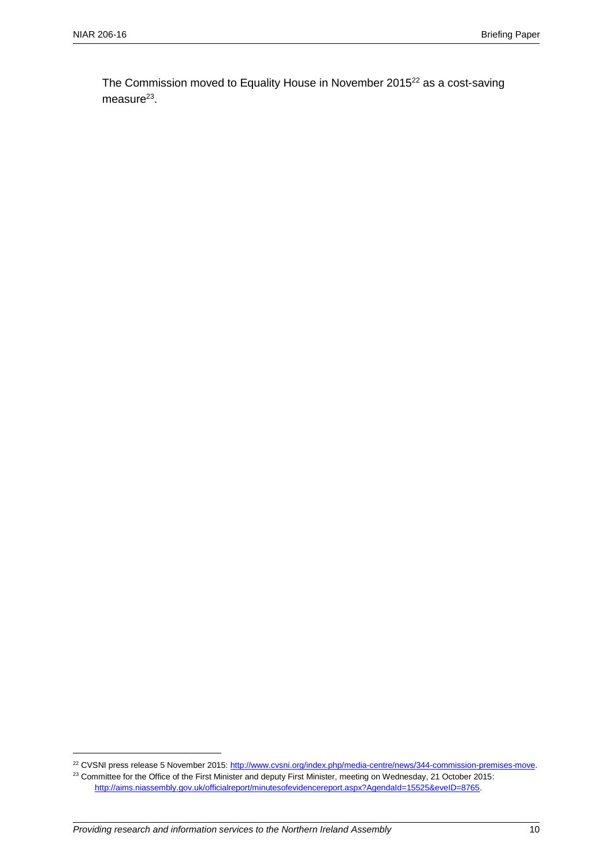The Commission moved to Equality House in November 2015<sup>22</sup> as a cost-saving measure<sup>23</sup>.

<sup>&</sup>lt;sup>22</sup> CVSNI press release 5 November 2015[: http://www.cvsni.org/index.php/media-centre/news/344-commission-premises-move.](http://www.cvsni.org/index.php/media-centre/news/344-commission-premises-move) <sup>23</sup> Committee for the Office of the First Minister and deputy First Minister, meeting on Wednesday, 21 October 2015:

[http://aims.niassembly.gov.uk/officialreport/minutesofevidencereport.aspx?AgendaId=15525&eveID=8765.](http://aims.niassembly.gov.uk/officialreport/minutesofevidencereport.aspx?AgendaId=15525&eveID=8765)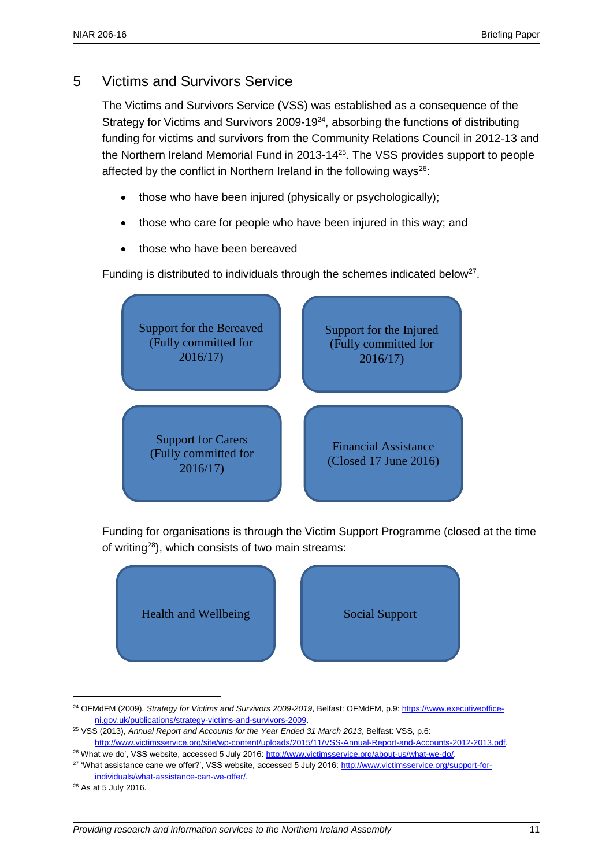#### 5 Victims and Survivors Service

The Victims and Survivors Service (VSS) was established as a consequence of the Strategy for Victims and Survivors 2009-19 $24$ , absorbing the functions of distributing funding for victims and survivors from the Community Relations Council in 2012-13 and the Northern Ireland Memorial Fund in 2013-14<sup>25</sup>. The VSS provides support to people affected by the conflict in Northern Ireland in the following ways<sup>26</sup>:

- those who have been injured (physically or psychologically);
- those who care for people who have been injured in this way; and
- those who have been bereaved

Funding is distributed to individuals through the schemes indicated below<sup>27</sup>.



Funding for organisations is through the Victim Support Programme (closed at the time of writing<sup>28</sup>), which consists of two main streams:



<sup>&</sup>lt;sup>24</sup> OFMdFM (2009), *Strategy for Victims and Survivors 2009-2019*, Belfast: OFMdFM, p.9[: https://www.executiveoffice](https://www.executiveoffice-ni.gov.uk/publications/strategy-victims-and-survivors-2009)[ni.gov.uk/publications/strategy-victims-and-survivors-2009.](https://www.executiveoffice-ni.gov.uk/publications/strategy-victims-and-survivors-2009) 

 $\overline{a}$ 

<sup>25</sup> VSS (2013), *Annual Report and Accounts for the Year Ended 31 March 2013*, Belfast: VSS, p.6:

[http://www.victimsservice.org/site/wp-content/uploads/2015/11/VSS-Annual-Report-and-Accounts-2012-2013.pdf.](http://www.victimsservice.org/site/wp-content/uploads/2015/11/VSS-Annual-Report-and-Accounts-2012-2013.pdf) <sup>26</sup> What we do', VSS website, accessed 5 July 2016[: http://www.victimsservice.org/about-us/what-we-do/.](http://www.victimsservice.org/about-us/what-we-do/) 

<sup>27</sup> 'What assistance cane we offer?', VSS website, accessed 5 July 2016: [http://www.victimsservice.org/support-for](http://www.victimsservice.org/support-for-individuals/what-assistance-can-we-offer/)[individuals/what-assistance-can-we-offer/.](http://www.victimsservice.org/support-for-individuals/what-assistance-can-we-offer/) 

<sup>28</sup> As at 5 July 2016.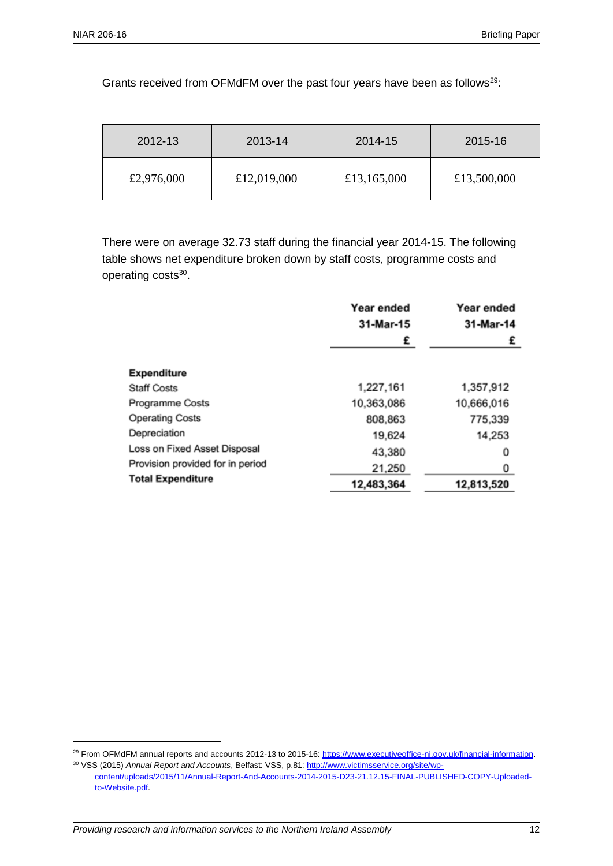Grants received from OFMdFM over the past four years have been as follows<sup>29</sup>:

| 2012-13    | 2013-14     | 2014-15     | 2015-16     |
|------------|-------------|-------------|-------------|
| £2,976,000 | £12,019,000 | £13,165,000 | £13,500,000 |

There were on average 32.73 staff during the financial year 2014-15. The following table shows net expenditure broken down by staff costs, programme costs and operating costs<sup>30</sup>.

|                                  | Year ended<br>31-Mar-15 | Year ended<br>31-Mar-14 |
|----------------------------------|-------------------------|-------------------------|
|                                  | £                       | £                       |
| <b>Expenditure</b>               |                         |                         |
| <b>Staff Costs</b>               | 1,227,161               | 1,357,912               |
| Programme Costs                  | 10,363,086              | 10,666,016              |
| <b>Operating Costs</b>           | 808,863                 | 775,339                 |
| Depreciation                     | 19,624                  | 14,253                  |
| Loss on Fixed Asset Disposal     | 43,380                  | 0                       |
| Provision provided for in period | 21,250                  | 0                       |
| <b>Total Expenditure</b>         | 12,483,364              | 12,813,520              |

<sup>&</sup>lt;sup>29</sup> From OFMdFM annual reports and accounts 2012-13 to 2015-16: [https://www.executiveoffice-ni.gov.uk/financial-information.](https://www.executiveoffice-ni.gov.uk/financial-information) <sup>30</sup> VSS (2015) *Annual Report and Accounts*, Belfast: VSS, p.81: [http://www.victimsservice.org/site/wp](http://www.victimsservice.org/site/wp-content/uploads/2015/11/Annual-Report-And-Accounts-2014-2015-D23-21.12.15-FINAL-PUBLISHED-COPY-Uploaded-to-Website.pdf)[content/uploads/2015/11/Annual-Report-And-Accounts-2014-2015-D23-21.12.15-FINAL-PUBLISHED-COPY-Uploaded-](http://www.victimsservice.org/site/wp-content/uploads/2015/11/Annual-Report-And-Accounts-2014-2015-D23-21.12.15-FINAL-PUBLISHED-COPY-Uploaded-to-Website.pdf)

[to-Website.pdf.](http://www.victimsservice.org/site/wp-content/uploads/2015/11/Annual-Report-And-Accounts-2014-2015-D23-21.12.15-FINAL-PUBLISHED-COPY-Uploaded-to-Website.pdf)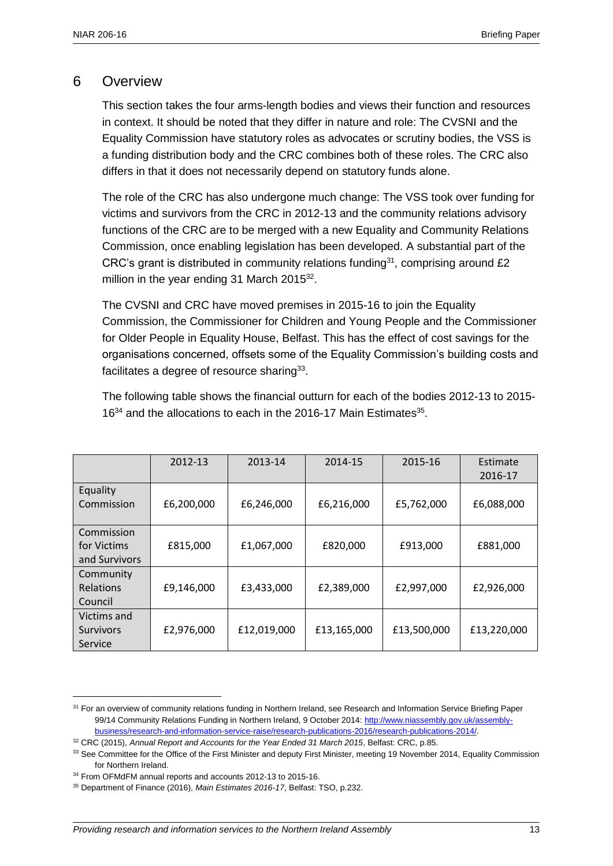#### 6 Overview

This section takes the four arms-length bodies and views their function and resources in context. It should be noted that they differ in nature and role: The CVSNI and the Equality Commission have statutory roles as advocates or scrutiny bodies, the VSS is a funding distribution body and the CRC combines both of these roles. The CRC also differs in that it does not necessarily depend on statutory funds alone.

The role of the CRC has also undergone much change: The VSS took over funding for victims and survivors from the CRC in 2012-13 and the community relations advisory functions of the CRC are to be merged with a new Equality and Community Relations Commission, once enabling legislation has been developed. A substantial part of the CRC's grant is distributed in community relations funding<sup>31</sup>, comprising around  $£2$ million in the year ending 31 March 2015 $32$ .

The CVSNI and CRC have moved premises in 2015-16 to join the Equality Commission, the Commissioner for Children and Young People and the Commissioner for Older People in Equality House, Belfast. This has the effect of cost savings for the organisations concerned, offsets some of the Equality Commission's building costs and facilitates a degree of resource sharing<sup>33</sup>.

The following table shows the financial outturn for each of the bodies 2012-13 to 2015- 16<sup>34</sup> and the allocations to each in the 2016-17 Main Estimates<sup>35</sup>.

|                                            | 2012-13    | 2013-14     | 2014-15     | 2015-16     | Estimate<br>2016-17 |
|--------------------------------------------|------------|-------------|-------------|-------------|---------------------|
| Equality<br>Commission                     | £6,200,000 | £6,246,000  | £6,216,000  | £5,762,000  | £6,088,000          |
| Commission<br>for Victims<br>and Survivors | £815,000   | £1,067,000  | £820,000    | £913,000    | £881,000            |
| Community<br>Relations<br>Council          | £9,146,000 | £3,433,000  | £2,389,000  | £2,997,000  | £2,926,000          |
| Victims and<br>Survivors<br>Service        | £2,976,000 | £12,019,000 | £13,165,000 | £13,500,000 | £13,220,000         |

 $\overline{a}$ 

<sup>31</sup> For an overview of community relations funding in Northern Ireland, see Research and Information Service Briefing Paper 99/14 Community Relations Funding in Northern Ireland, 9 October 2014: [http://www.niassembly.gov.uk/assembly](http://www.niassembly.gov.uk/assembly-business/research-and-information-service-raise/research-publications-2016/research-publications-2014/)[business/research-and-information-service-raise/research-publications-2016/research-publications-2014/.](http://www.niassembly.gov.uk/assembly-business/research-and-information-service-raise/research-publications-2016/research-publications-2014/)

<sup>32</sup> CRC (2015), *Annual Report and Accounts for the Year Ended 31 March 2015*, Belfast: CRC, p.85.

<sup>&</sup>lt;sup>33</sup> See Committee for the Office of the First Minister and deputy First Minister, meeting 19 November 2014, Equality Commission for Northern Ireland.

<sup>&</sup>lt;sup>34</sup> From OFMdFM annual reports and accounts 2012-13 to 2015-16.

<sup>35</sup> Department of Finance (2016), *Main Estimates 2016-17*, Belfast: TSO, p.232.